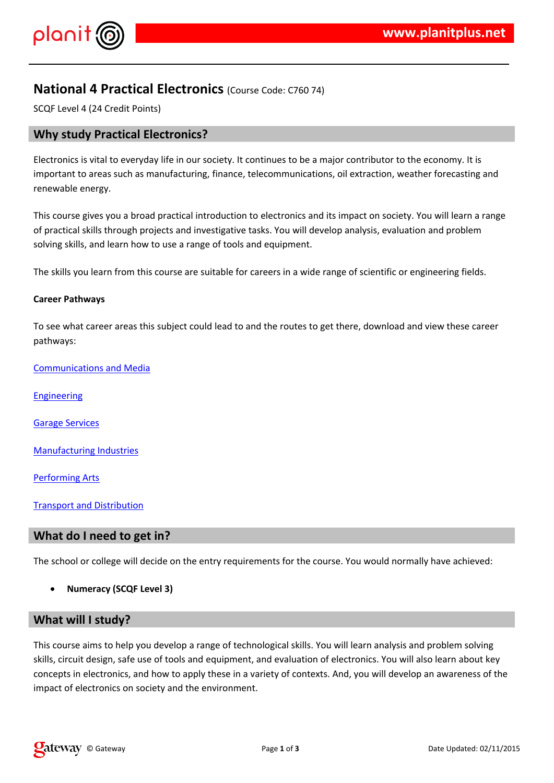$!$  " # \$  $\%$  % &

 $1\$  (  $8\%$  (  $\%$  #  $\%$   $\frac{4\%}{8\%}\%$  & #  $\frac{1}{8}$  (  $\%$  &  $\frac{1}{8}$  & + (  $\frac{1}{8}$  ,  $\frac{1}{8}$  (  $\frac{1}{8}$  ,  $\frac{1}{8}$  )  $\frac{1}{8}$  $( . , 8\%8(8(36)(4, 8\%)/ 8)( 968 / 9650 (9680))$  $8<sup>2</sup>$  $\%$  ,  $8 + $ 8$ 

 $($  %  $($  \$ 3% \$ \$  $\cdot$  .& % & # -  $($ % 3 %  $\mathcal{L}$  % \$ \$ \$ \$ \$ \$ & % / + \$ \$ 

1 (  $+-.$   $\%$  (\$\$ & . ) &\$ & #% .

 $1, 8\%$  ( % & & 5 %

 $8\%8$  % &

 $\frac{4}{3}$  % (

5 & ( % & \* & %

 $\frac{9}{6}$  & 6

 $18$   $8\%$  % + % &

 $1'' + $$ 

 $1. \%$  (  $\frac{.}{6}$   $\frac{.}{4}$  \$ & (.& \$ % ( $\frac{.}{4}$  3 %  $\frac{.}{4}$  \$ \$ & \$ \$ %  $\frac{.}{4}$  \$ & \$ \$ %  $\frac{.}{2}$  $3\%$ \$\$ / (% (% % % & / 4 % , & / #&\$ &  $$$  (  $8\%$  ( ) 2+  $36\$  $(8($   $% 8($   $8\%() / 8 \$   $% 10\%$  % (8 0 )%6\$\$ / # \$ 8 %,  $($  \$  $($  & %  $($  % & & . & # % & , & )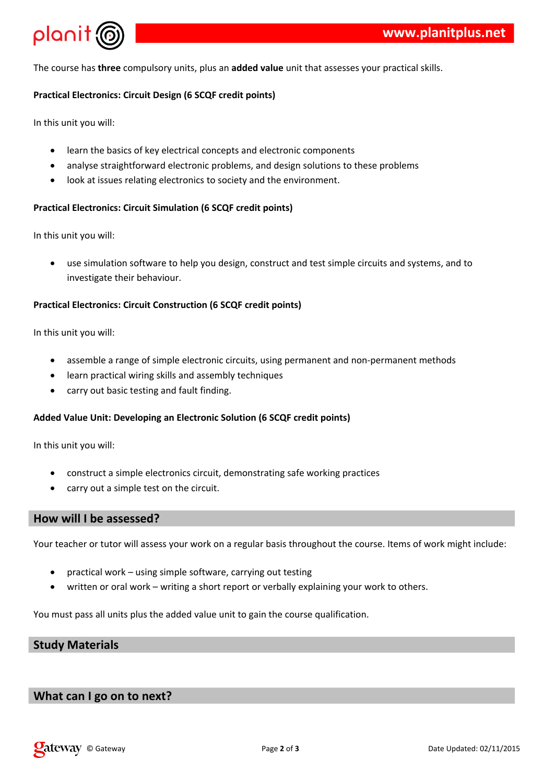

The course has **three** compulsory units, plus an **added value** unit that assesses your practical skills.

### **Practical Electronics: Circuit Design (6 SCQF credit points)**

In this unit you will:

- learn the basics of key electrical concepts and electronic components
- analyse straightforward electronic problems, and design solutions to these problems
- look at issues relating electronics to society and the environment.

### **Practical Electronics: Circuit Simulation (6 SCQF credit points)**

In this unit you will:

 use simulation software to help you design, construct and test simple circuits and systems, and to investigate their behaviour.

### **Practical Electronics: Circuit Construction (6 SCQF credit points)**

In this unit you will:

- assemble a range of simple electronic circuits, using permanent and non-permanent methods
- learn practical wiring skills and assembly techniques
- carry out basic testing and fault finding.

### **Added Value Unit: Developing an Electronic Solution (6 SCQF credit points)**

In this unit you will:

- construct a simple electronics circuit, demonstrating safe working practices
- carry out a simple test on the circuit.

## **How will I be assessed?**

Your teacher or tutor will assess your work on a regular basis throughout the course. Items of work might include:

- practical work using simple software, carrying out testing
- written or oral work writing a short report or verbally explaining your work to others.

You must pass all units plus the added value unit to gain the course qualification.

# **Study Materials**

## **What can I go on to next?**